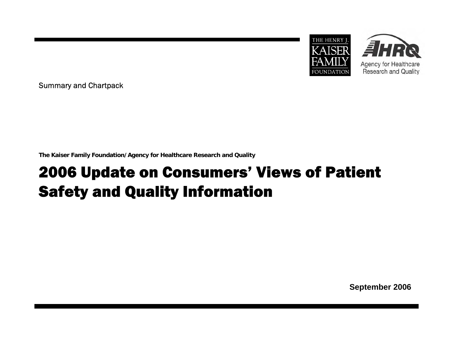



Summary and Chartpack

**The Kaiser Family Foundation/Agency for Healthcare Research and Quality**

# 2006 Update on Consumers' Views of Patient Safety and Quality Information

**September 2006**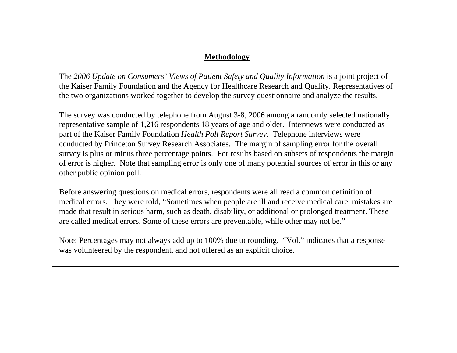### **Methodology**

The *2006 Update on Consumers' Views of Patient Safety and Quality Information* is a joint project of the Kaiser Family Foundation and the Agency for Healthcare Research and Quality. Representatives of the two organizations worked together to develop the survey questionnaire and analyze the results.

The survey was conducted by telephone from August 3-8, 2006 among a randomly selected nationally representative sample of 1,216 respondents 18 years of age and older. Interviews were conducted as part of the Kaiser Family Foundation *Health Poll Report Survey*. Telephone interviews were conducted by Princeton Survey Research Associates. The margin of sampling error for the overall survey is plus or minus three percentage points. For results based on subsets of respondents the margin of error is higher. Note that sampling error is only one of many potential sources of error in this or any other public opinion poll.

Before answering questions on medical errors, respondents were all read a common definition of medical errors. They were told, "Sometimes when people are ill and receive medical care, mistakes are made that result in serious harm, such as death, disability, or additional or prolonged treatment. These are called medical errors. Some of these errors are preventable, while other may not be."

Note: Percentages may not always add up to 100% due to rounding. "Vol." indicates that a response was volunteered by the respondent, and not offered as an explicit choice.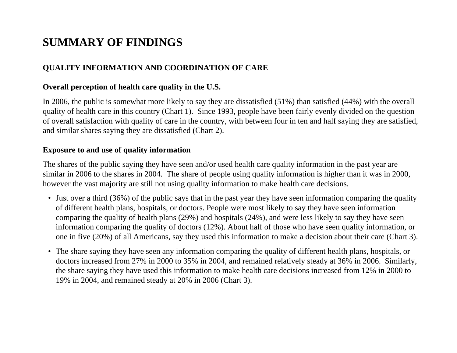## **SUMMARY OF FINDINGS**

## **QUALITY INFORMATION AND COORDINATION OF CARE**

### **Overall perception of health care quality i n the U.S.**

In 2006, the public is somewhat m ore likely to say they are dissatisfied (51%) than satisfied (44%) wit h t he overall quality of health care in this country (Chart 1). Since 1993, people have been fairly evenly divided on the question of overall satisfaction with quality of care in the country, with between four in ten and half saying t hey are satisfied, and simil ar shares s aying they are dissatisfied (Ch art 2).

### **Exposure to and use of quality information**

The shares of the public saying they hav e seen and/or used health care quality information in the p ast year are similar in 2006 to the shares in 2004. The share of people using quality information is higher than it was in 2000, however the v ast majority are still not using quality information to mak e health care decisions.

- Just over a third (36%) of the public says that in the past year they have seen information com paring the quality of different health plans, hospitals, or doctors. People were m ost likely to say they hav e s een i nformation comparing the quality of health plans (29%) and hospitals (24%), and were less likely to say they have seen information com paring the quality of doctors (12%). About half of those who have seen quality information, or one in five (20%) of all Americans, say they used this information to make a decision about their care (Chart 3).
- The share saying they hav e seen any information co m paring the quality of different health plans, hospitals, or doctors increased from 27% in 2000 to 35% in 2004, and remained relatively steady at 36% in 2006. Si milarly, the share s aying they hav e used this information to mak e health care d ecisions increased from 12% in 2000 to 19% in 2004, and remained steady at 20% in 2006 (Chart 3).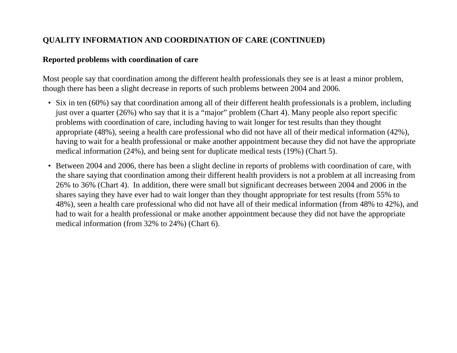## **QUALITY INFORMATION AND COORDINATION OF CARE (CONTINUED)**

### **Reported problems with coordination of care**

Most people say that coordination among the different health professionals they see is at least a minor problem, though there has been a slight decrease in reports of such problems between 2004 and 2006.

- Six in ten (60%) say that coordination among all of t heir different health professionals is a problem, including just over a quarter (26%) who say that it is a "major" problem (Chart 4). Many p e o ple also report specific problems with coordination of care, including having to wait longer for t est results than they thought appropriate (48%), seeing a health care professional who did not have all of their medical information (42%), having to wait for a health professional or make another appointment because they did not have the appropriate medical information (24%), and being sent for duplicate medical tests (19%) (Chart 5).
- Between 2004 and 2006, there has been a slight decline in reports of problems with coordination of care, with the share saying that coordination among their different health providers is not a problem at all increasing from 26% to 36% (Chart 4). In addition, there were small but significant decreases between 2004 and 2006 in the shares saying they have ever had to wait longer than they thought appropriate for test results (from 55% to 48%), seen a health care professional who did not have all of their medical information (from 48% to 42%), and had to wait for a health professional or make another appointment because they did not have the appropriate medical information (from 32% to 24%) (Chart 6).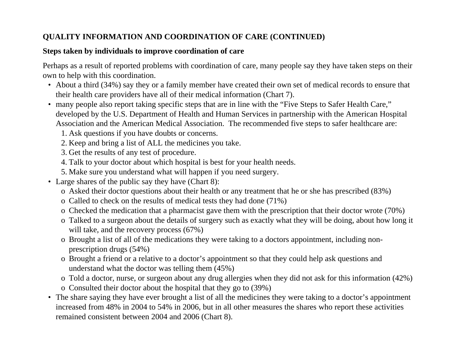## **QUALITY INFORMATION AND COORDINATION OF CARE (CONTINUED)**

### **Steps taken by individuals to improve coordination of care**

Perhaps as a result of reported problems with coordination of care, many people say they have taken steps on their own to help with this coordination.

- About a third (34%) say they or a family mem ber have created their own set of medical records to ensure that their healt h car e providers hav e all of their medical information (Chart 7).
- many people also report taking specific steps that are in line with the "Five Steps to Safer Health Care," developed by the U.S. Department of Health and Human Services in p artnership with the American Hospital Association and the American Medical Association. The recommended five steps t o s afer healthcare are:
	- 1. Ask questions if you have doubts or concerns.
	- 2. Keep and bring a list of ALL the medicines you take.
	- 3. Get the results of any test of procedure.
	- 4. Talk to your doctor about which hospital is best for your health needs.
	- 5. Make sure you understand what will happen if you need surgery.
- Large shares of the public say they have (Chart 8):
	- o Asked their doctor questions about their health or any treatment that he or she has prescribed (83%)
	- o Called to check on the results of medical tests they had done (71%)
	- o C h ecked t he medication that a pharmacist gav e them with the prescription that their doctor wrote (70%)
	- o Talked to a surgeon about the details of surgery such as exactly what they will be doing, about how long it will take, and the recov ery process (67%)
	- o Brought a list of all of the medications they were taking to a doctors appointm ent, including nonprescription drugs (54%)
	- o Brought a friend or a relative to a doctor's appointment so that they could help ask questions and understand what the doctor was telling them (45%)
	- o Told a doctor, nurse, or surgeon about any drug allergies when they did not ask for t his information (42%)
	- o Consulted their doctor about the hospital that they go to (39%)
- The share saying they have ever brought a list of all t he medicines they were taking to a doctor's appointment increased from 48% in 2004 to 54% in 2006, but in all other measures the shares who report these activities remained consistent between 2004 and 2006 (Chart 8).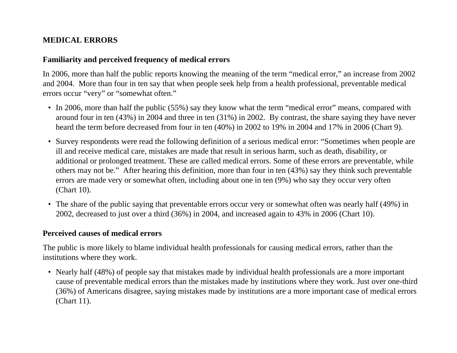## **MEDICAL ERRORS**

### **Familiarity and perceived frequency of medical errors**

In 2006, more than half the public reports knowing the meaning of the term "medical error," an increase from 2002 and 2004. More than four in ten say that when people seek help from a health professional, preventable medical errors occur "very" or "somewhat often."

- In 2006, more than half the public (55%) say they know what the term "medical error" means, compared with around four in ten (43%) in 2004 and three in ten (31%) in 2002. By contrast, the share saying they have never heard the term before decreased from four in ten (40%) in 2002 to 19% in 2004 and 17% in 2006 (Chart 9).
- Survey respondents were read the following definition of a serious medical error: "Sometimes when people are ill and receive medical care, mistakes are made that result in serious harm, such as death, disability, or additional or prolonged treatment. These are called medical errors. Some of these errors are preventable, while others may not be." After hearing this definition, more than four in ten (43%) say they think such preventable errors are made very or somewhat often, including about one in ten (9%) who say they occur very often (Chart 10).
- The share of the public saying that preventable errors occur very or somewhat often was nearly half (49%) in 2002, decreased to just over a third (36%) in 2004, and increased again to 43% in 2006 (Chart 10).

### **Perceived causes of medical errors**

The public is more likely to blame individual health professionals for causing medical errors, rather than the institutions where they work.

• Nearly half (48%) of people say that mistakes made by individual health professionals are a more important cause of preventable medical errors than the mistakes made by institutions where they work. Just over one-third (36%) of Americans disagree, saying mistakes made by institutions are a more important case of medical errors (Chart 11).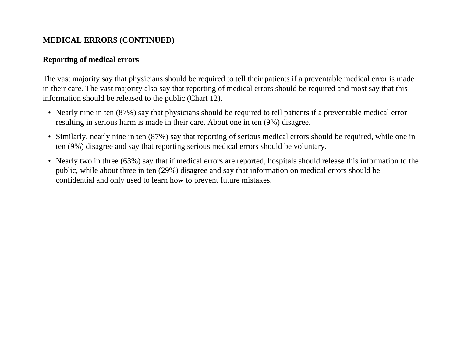## **MEDICAL ERRORS (CONTINUED)**

## **Reporting of medical errors**

The vast majority say that physicians should be required to tell their patients if a preventable medical error is made in their care. The vast majority also say that reporting of medical errors should be required and most say that this information should be released to the public (Chart 12).

- Nearly nine in ten (87%) say that physicians should be required to tell patients if a preventable medical error resulting in serious harm is made in their care. About one in ten (9%) disagree.
- Similarly, nearly nine in ten (87%) say that reporting of serious medical errors should be required, while one in ten (9%) disagree and say that reporting serious medical errors should be voluntary.
- Nearly two in three (63%) say that if medical errors are reported, hospitals should release this information to the public, while about three in ten (29%) disagree and say that information on medical errors should be confidential and only used to learn how to prevent future mistakes.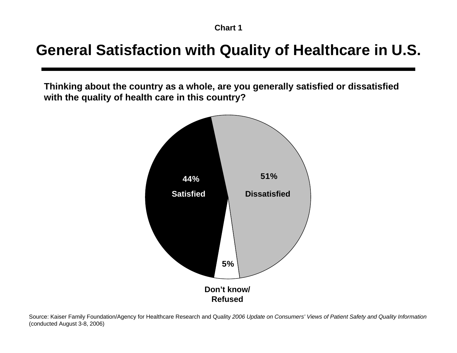## **General Satisfaction with Quality of Healthcare in U.S.**

**Thinking about the country as a whole, are you generally satisfied or dissatisfied with the quality of health care in this country?**



Source: Kaiser Family Foundation/Agency for Healthcare Research and Quality *2006 Update on Consumers' Views of Patient Safety and Quality Information*  (conducted August 3-8, 2006)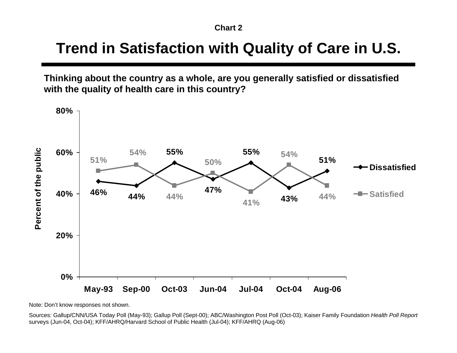## **Trend in Satisfaction with Quality of Care in U.S.**

**Thinking about the country as a whole, are you generally satisfied or dissatisfied with the quality of health care in this country?**



Note: Don't know responses not shown.

Sources: Gallup/CNN/USA Today Poll (May-93); Gallup Poll (Sept-00); ABC/Washington Post Poll (Oct-03); Kaiser Family Foundation *Health Poll Report* surveys (Jun-04, Oct-04); KFF/AHRQ/Harvard School of Public Health (Jul-04); KFF/AHRQ (Aug-06)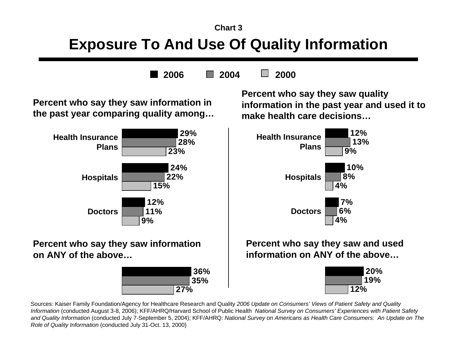# **Exposure To And Use Of Quality Information**

**20062004 2000**

**Percent who say they saw information in the past year comparing quality among…**



## **Percent who say they saw information on ANY of the above…**



**Percent who say they saw quality information in the past year and used it to make health care decisions…**



**Percent who say they saw and used information on ANY of the above…**



Sources: Kaiser Family Foundation/Agency for Healthcare Research and Quality *2006 Update on Consumers' Views of Patient Safety and Quality Information* (conducted August 3-8, 2006); KFF/AHRQ/Harvard School of Public Health *National Survey on Consumers' Experiences with Patient Safety and Quality Information* (conducted July 7-September 5, 2004); KFF/AHRQ: *National Survey on Americans as Health Care Consumers: An Update on The Role of Quality Information* (conducted July 31-Oct. 13, 2000)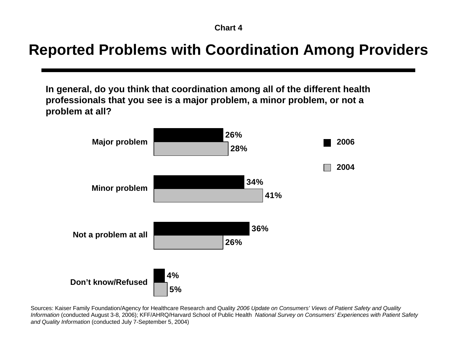# **Reported Problems with Coordination Among Providers**

**In general, do you think that coordination among all of the different health professionals that you see is a major problem, a minor problem, or not a problem at all?**



Sources: Kaiser Family Foundation/Agency for Healthcare Research and Quality *2006 Update on Consumers' Views of Patient Safety and Quality Information* (conducted August 3-8, 2006); KFF/AHRQ/Harvard School of Public Health *National Survey on Consumers' Experiences with Patient Safety and Quality Information* (conducted July 7-September 5, 2004)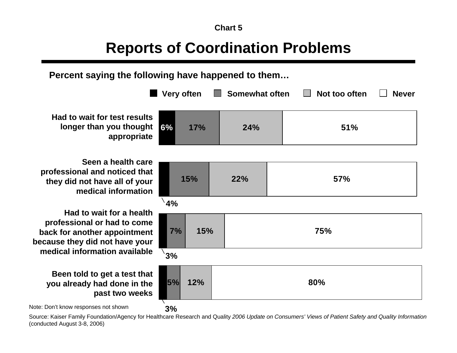# **Reports of Coordination Problems**

**Percent saying the following have happened to them…**

|                                       | <b>Very often</b> |     | Somewhat often |     | Not too often | <b>Never</b> |  |
|---------------------------------------|-------------------|-----|----------------|-----|---------------|--------------|--|
| sults<br>ught<br>riate                | 6%                | 17% | 24%            |     | 51%           |              |  |
| care<br>that<br>your<br>ation         | 15%               |     | 22%            |     | 57%           |              |  |
| ealth<br><b>come</b><br>ment<br>your  | 4%<br>15%<br>7%   |     |                | 75% |               |              |  |
| lable<br>t that<br>n the<br>eeks<br>. | 3%<br>5%<br>12%   |     |                | 80% |               |              |  |
|                                       | 3%                |     |                |     |               |              |  |

**Had to wait for test read to longer than you tho approp** 

**Seen a health professional and noticed that**  they did not have all of **medical information** 

**Had to wait for a health** professional or had to **c back for another appoints because they did not have** medical information avai

## **Been told to get a test you already had done in past two w**

Note: Don't know responses not shown

Source: Kaiser Family Foundation/Agency for Healthcare Research and Quality *2006 Update on Consumers' Views of Patient Safety and Quality Information*  (conducted August 3-8, 2006)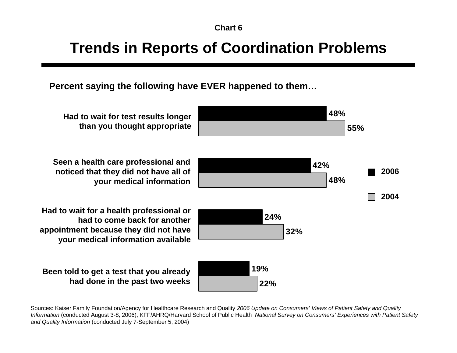# **Trends in Reports of Coordination Problems**

**Percent saying the following have EVER happened to them…**

**22%32%48%55%19%24%42%48%20042006**

**Had to wait for test results longer than you thought appropriate**

**Seen a health care professional and noticed that they did not have all of your medical information**

**Had to wait for a health professional or had to come back for anotherappointment because they did not have your medical information available**

**Been told to get a test that you already had done in the past two weeks**

Sources: Kaiser Family Foundation/Agency for Healthcare Research and Quality *2006 Update on Consumers' Views of Patient Safety and Quality Information* (conducted August 3-8, 2006); KFF/AHRQ/Harvard School of Public Health *National Survey on Consumers' Experiences with Patient Safety and Quality Information* (conducted July 7-September 5, 2004)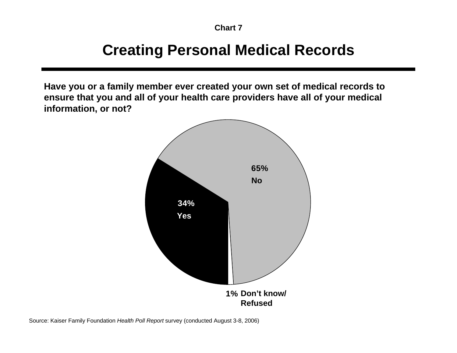# **Creating Personal Medical Records**

**Have you or a family member ever created your own set of medical records to ensure that you and all of your health care providers have all of your medical information, or not?**



Source: Kaiser Family Foundation *Health Poll Report* survey (conducted August 3-8, 2006)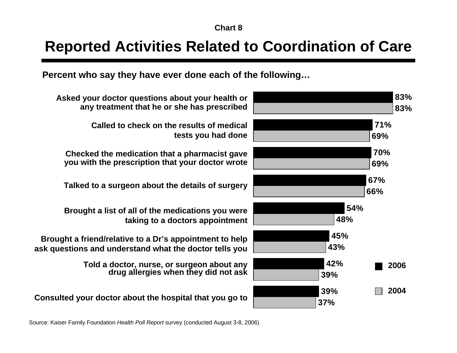## **Reported Activities Related to Coordination of Care**

**Percent who say they have ever done each of the following…**



**Asked your doctor questions about your health or any treatment that he or she has prescribed**

> **Called to check on the results of medical tests you had done**

**Checked the medication that a pharmacist gave you with the prescription that your doctor wrote**

**Talked to a surgeon about the details of surgery**

**Brought a list of all of the medications you were taking to a doctors appointment**

**Brought a friend/relative to a Dr's appointment to help ask questions and understand what the doctor tells you**

> **Told a doctor, nurse, or surgeon about any drug allergies when they did not ask**

**Consulted your doctor about the hospital that you go to**

Source: Kaiser Family Foundation *Health Poll Report* survey (conducted August 3-8, 2006)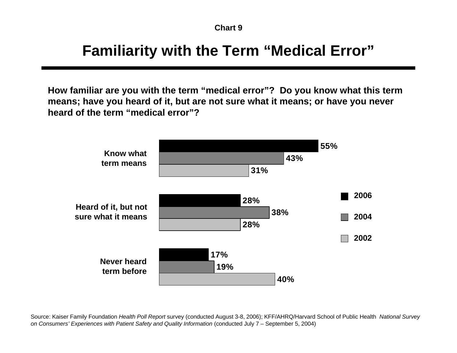## **Familiarity with the Term "Medical Error"**

**How familiar are you with the term "medical error"? Do you know what this term means; have you heard of it, but are not sure what it means; or have you never heard of the term "medical error"?**



Source: Kaiser Family Foundation *Health Poll Report* survey (conducted August 3-8, 2006); KFF/AHRQ/Harvard School of Public Health *National Survey on Consumers' Experiences with Patient Safety and Quality Information* (conducted July 7 – September 5, 2004)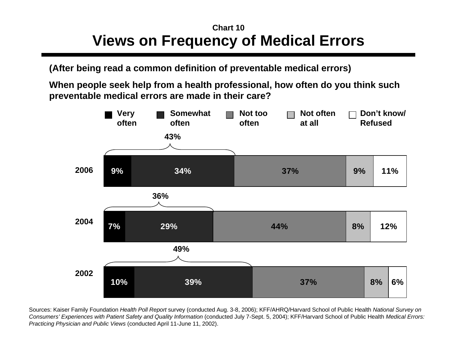## **Views on Frequency of Medical Errors Chart 10**

**(After being read a common definition of preventable medical errors)**

**When people seek help from a health professional, how oft en do you think such preventable medical errors are made in their care?**



Sources: Kaiser Family Foundation *Health Poll Report* survey (conducted Aug. 3-8, 2006); KFF/AHRQ/Harvard School of Public Health *National Survey on* Consumers' Experiences with Patient Safety and Quality Information (conducted July 7-Sept. 5, 2004); KFF/Harvard School of Public Health Medical Errors: *Pra cticing Physician and Public Vie ws* (conducted April 11-June 11, 2002).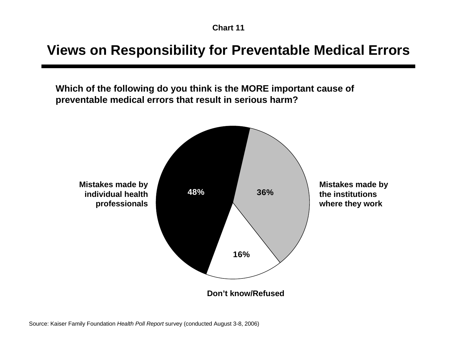## **Views on Responsibility for Preventable Medical Errors**

**Which of the following do you think is the MORE important cause of preventable medical errors that result in serious harm?** 

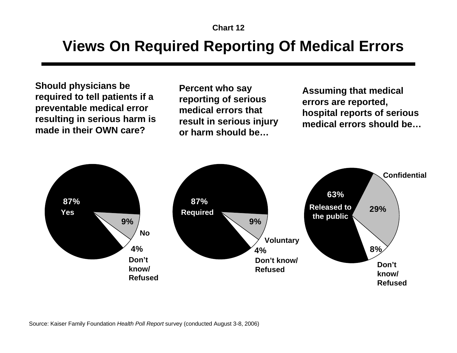# **Views On Required Reporting Of Medical Errors**

**Should physicians be required to tell patients if a preventable medical error resulting in serious harm is made in their OWN care?**

**Percent who say reporting of serious medical errors that result in serious injury or harm should be…**

**Assuming that medical errors are reported, hospital reports of serious medical errors should be…**